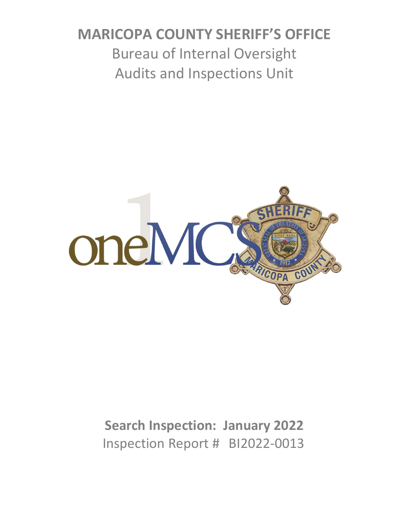# **MARICOPA COUNTY SHERIFF'S OFFICE** Bureau of Internal Oversight Audits and Inspections Unit



# **Search Inspection: January 2022** Inspection Report # BI2022-0013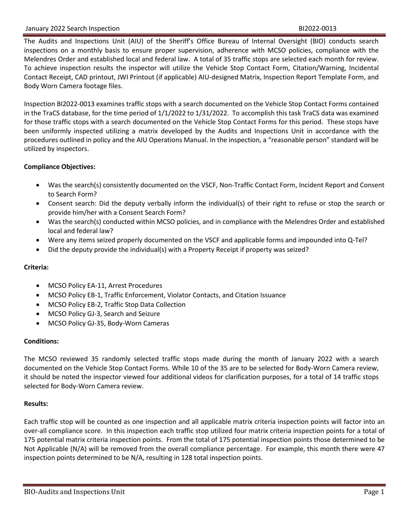#### January 2022 Search Inspection **BI2022-0013 BI2022-0013**

The Audits and Inspections Unit (AIU) of the Sheriff's Office Bureau of Internal Oversight (BIO) conducts search inspections on a monthly basis to ensure proper supervision, adherence with MCSO policies, compliance with the Melendres Order and established local and federal law. A total of 35 traffic stops are selected each month for review. To achieve inspection results the inspector will utilize the Vehicle Stop Contact Form, Citation/Warning, Incidental Contact Receipt, CAD printout, JWI Printout (if applicable) AIU-designed Matrix, Inspection Report Template Form, and Body Worn Camera footage files.

Inspection BI2022-0013 examines traffic stops with a search documented on the Vehicle Stop Contact Forms contained in the TraCS database, for the time period of 1/1/2022 to 1/31/2022. To accomplish this task TraCS data was examined for those traffic stops with a search documented on the Vehicle Stop Contact Forms for this period. These stops have been uniformly inspected utilizing a matrix developed by the Audits and Inspections Unit in accordance with the procedures outlined in policy and the AIU Operations Manual. In the inspection, a "reasonable person" standard will be utilized by inspectors.

#### **Compliance Objectives:**

- Was the search(s) consistently documented on the VSCF, Non-Traffic Contact Form, Incident Report and Consent to Search Form?
- Consent search: Did the deputy verbally inform the individual(s) of their right to refuse or stop the search or provide him/her with a Consent Search Form?
- Was the search(s) conducted within MCSO policies, and in compliance with the Melendres Order and established local and federal law?
- Were any items seized properly documented on the VSCF and applicable forms and impounded into Q-Tel?
- Did the deputy provide the individual(s) with a Property Receipt if property was seized?

#### **Criteria:**

- MCSO Policy EA-11, Arrest Procedures
- MCSO Policy EB-1, Traffic Enforcement, Violator Contacts, and Citation Issuance
- MCSO Policy EB-2, Traffic Stop Data Collection
- MCSO Policy GJ-3, Search and Seizure
- MCSO Policy GJ-35, Body-Worn Cameras

#### **Conditions:**

The MCSO reviewed 35 randomly selected traffic stops made during the month of January 2022 with a search documented on the Vehicle Stop Contact Forms. While 10 of the 35 are to be selected for Body-Worn Camera review, it should be noted the inspector viewed four additional videos for clarification purposes, for a total of 14 traffic stops selected for Body-Worn Camera review.

#### **Results:**

Each traffic stop will be counted as one inspection and all applicable matrix criteria inspection points will factor into an over-all compliance score. In this inspection each traffic stop utilized four matrix criteria inspection points for a total of 175 potential matrix criteria inspection points. From the total of 175 potential inspection points those determined to be Not Applicable (N/A) will be removed from the overall compliance percentage. For example, this month there were 47 inspection points determined to be N/A, resulting in 128 total inspection points.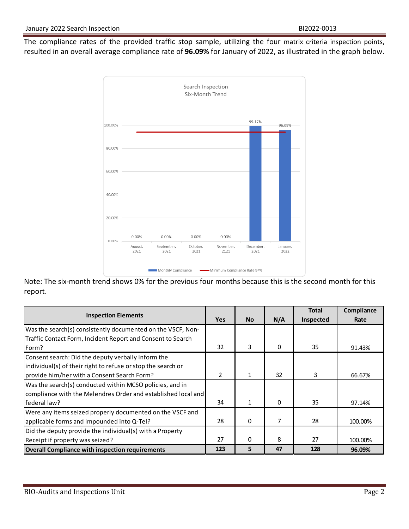The compliance rates of the provided traffic stop sample, utilizing the four matrix criteria inspection points, resulted in an overall average compliance rate of **96.09%** for January of 2022, as illustrated in the graph below.



Note: The six-month trend shows 0% for the previous four months because this is the second month for this report.

|                                                               |            |              |          | <b>Total</b> | Compliance |
|---------------------------------------------------------------|------------|--------------|----------|--------------|------------|
| <b>Inspection Elements</b>                                    | <b>Yes</b> | <b>No</b>    | N/A      | Inspected    | Rate       |
| Was the search(s) consistently documented on the VSCF, Non-   |            |              |          |              |            |
| Traffic Contact Form, Incident Report and Consent to Search   |            |              |          |              |            |
| Form?                                                         | 32         | 3            | 0        | 35           | 91.43%     |
| Consent search: Did the deputy verbally inform the            |            |              |          |              |            |
| individual(s) of their right to refuse or stop the search or  |            |              |          |              |            |
| provide him/her with a Consent Search Form?                   | 2          | $\mathbf{1}$ | 32       | 3            | 66.67%     |
| Was the search(s) conducted within MCSO policies, and in      |            |              |          |              |            |
| compliance with the Melendres Order and established local and |            |              |          |              |            |
| federal law?                                                  | 34         | 1            | $\Omega$ | 35           | 97.14%     |
| Were any items seized properly documented on the VSCF and     |            |              |          |              |            |
| applicable forms and impounded into Q-Tel?                    | 28         | $\mathbf{0}$ | 7        | 28           | 100.00%    |
| Did the deputy provide the individual(s) with a Property      |            |              |          |              |            |
| Receipt if property was seized?                               | 27         | $\Omega$     | 8        | 27           | 100.00%    |
| <b>Overall Compliance with inspection requirements</b>        | 123        | 5            | 47       | 128          | 96.09%     |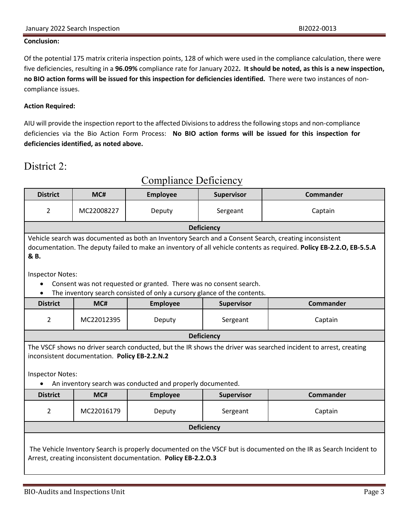#### **Conclusion:**

Of the potential 175 matrix criteria inspection points, 128 of which were used in the compliance calculation, there were five deficiencies, resulting in a **96.09%** compliance rate for January 2022**. It should be noted, as this is a new inspection, no BIO action forms will be issued for this inspection for deficiencies identified.** There were two instances of noncompliance issues.

#### **Action Required:**

AIU will provide the inspection report to the affected Divisionsto address the following stops and non-compliance deficiencies via the Bio Action Form Process: **No BIO action forms will be issued for this inspection for deficiencies identified, as noted above.**

## District 2:

| <b>District</b>                                                                                                                                                                                                                       | MC#        | <b>Employee</b>                                                                                                                                | <b>Supervisor</b> | <b>Commander</b> |
|---------------------------------------------------------------------------------------------------------------------------------------------------------------------------------------------------------------------------------------|------------|------------------------------------------------------------------------------------------------------------------------------------------------|-------------------|------------------|
| 2                                                                                                                                                                                                                                     | MC22008227 | Deputy                                                                                                                                         | Sergeant          | Captain          |
|                                                                                                                                                                                                                                       |            |                                                                                                                                                | <b>Deficiency</b> |                  |
| Vehicle search was documented as both an Inventory Search and a Consent Search, creating inconsistent<br>documentation. The deputy failed to make an inventory of all vehicle contents as required. Policy EB-2.2.O, EB-5.5.A<br>& B. |            |                                                                                                                                                |                   |                  |
| <b>Inspector Notes:</b>                                                                                                                                                                                                               |            |                                                                                                                                                |                   |                  |
| $\bullet$                                                                                                                                                                                                                             |            | Consent was not requested or granted. There was no consent search.<br>The inventory search consisted of only a cursory glance of the contents. |                   |                  |
| <b>District</b>                                                                                                                                                                                                                       | MC#        | <b>Employee</b>                                                                                                                                | <b>Supervisor</b> | <b>Commander</b> |
| $\overline{2}$                                                                                                                                                                                                                        | MC22012395 | Deputy                                                                                                                                         | Sergeant          | Captain          |
|                                                                                                                                                                                                                                       |            |                                                                                                                                                | <b>Deficiency</b> |                  |
| The VSCF shows no driver search conducted, but the IR shows the driver was searched incident to arrest, creating<br>inconsistent documentation. Policy EB-2.2.N.2                                                                     |            |                                                                                                                                                |                   |                  |
| <b>Inspector Notes:</b>                                                                                                                                                                                                               |            |                                                                                                                                                |                   |                  |
| An inventory search was conducted and properly documented.                                                                                                                                                                            |            |                                                                                                                                                |                   |                  |
| <b>District</b>                                                                                                                                                                                                                       | MC#        | <b>Employee</b>                                                                                                                                | Supervisor        | <b>Commander</b> |
| 2                                                                                                                                                                                                                                     | MC22016179 | Deputy                                                                                                                                         | Sergeant          | Captain          |
| <b>Deficiency</b>                                                                                                                                                                                                                     |            |                                                                                                                                                |                   |                  |
| The Vehicle Inventory Search is properly documented on the VSCF but is documented on the IR as Search Incident to<br>Arrest, creating inconsistent documentation. Policy EB-2.2.0.3                                                   |            |                                                                                                                                                |                   |                  |

## Compliance Deficiency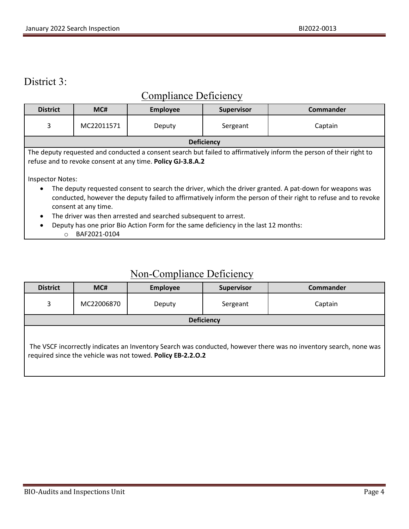## District 3:

## Compliance Deficiency

| <b>District</b>                                                                                                                                                                                                                                   | MC#        | <b>Employee</b> | <b>Supervisor</b> | <b>Commander</b> |
|---------------------------------------------------------------------------------------------------------------------------------------------------------------------------------------------------------------------------------------------------|------------|-----------------|-------------------|------------------|
| 3                                                                                                                                                                                                                                                 | MC22011571 | Deputy          | Sergeant          | Captain          |
|                                                                                                                                                                                                                                                   |            |                 | <b>Deficiency</b> |                  |
| The deputy requested and conducted a consent search but failed to affirmatively inform the person of their right to<br>refuse and to revoke consent at any time. Policy GJ-3.8.A.2<br><b>Inspector Notes:</b>                                     |            |                 |                   |                  |
| The deputy requested consent to search the driver, which the driver granted. A pat-down for weapons was<br>conducted, however the deputy failed to affirmatively inform the person of their right to refuse and to revoke<br>consent at any time. |            |                 |                   |                  |
| The driver was then arrested and searched subsequent to arrest.<br>Deputy has one prior Bio Action Form for the same deficiency in the last 12 months:                                                                                            |            |                 |                   |                  |

o BAF2021-0104

## Non-Compliance Deficiency

| <b>District</b>                                                                                                                                                                  | MC#        | <b>Employee</b> | <b>Supervisor</b> | <b>Commander</b> |
|----------------------------------------------------------------------------------------------------------------------------------------------------------------------------------|------------|-----------------|-------------------|------------------|
| 3                                                                                                                                                                                | MC22006870 | Deputy          | Sergeant          | Captain          |
| <b>Deficiency</b>                                                                                                                                                                |            |                 |                   |                  |
| The VSCF incorrectly indicates an Inventory Search was conducted, however there was no inventory search, none was<br>required since the vehicle was not towed. Policy EB-2.2.0.2 |            |                 |                   |                  |